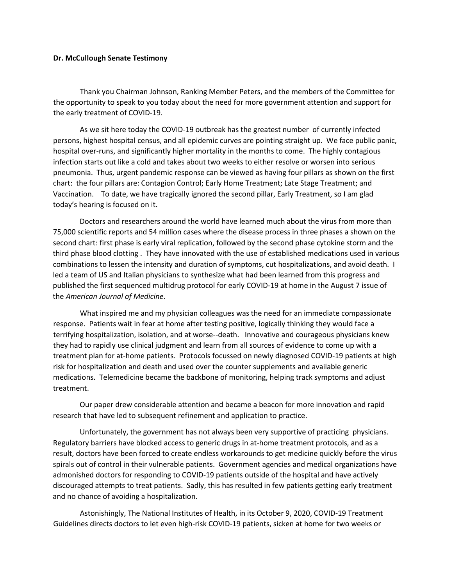## **Dr. McCullough Senate Testimony**

Thank you Chairman Johnson, Ranking Member Peters, and the members of the Committee for the opportunity to speak to you today about the need for more government attention and support for the early treatment of COVID-19.

As we sit here today the COVID-19 outbreak has the greatest number of currently infected persons, highest hospital census, and all epidemic curves are pointing straight up. We face public panic, hospital over-runs, and significantly higher mortality in the months to come. The highly contagious infection starts out like a cold and takes about two weeks to either resolve or worsen into serious pneumonia. Thus, urgent pandemic response can be viewed as having four pillars as shown on the first chart: the four pillars are: Contagion Control; Early Home Treatment; Late Stage Treatment; and Vaccination. To date, we have tragically ignored the second pillar, Early Treatment, so I am glad today's hearing is focused on it.

Doctors and researchers around the world have learned much about the virus from more than 75,000 scientific reports and 54 million cases where the disease process in three phases a shown on the second chart: first phase is early viral replication, followed by the second phase cytokine storm and the third phase blood clotting . They have innovated with the use of established medications used in various combinations to lessen the intensity and duration of symptoms, cut hospitalizations, and avoid death. I led a team of US and Italian physicians to synthesize what had been learned from this progress and published the first sequenced multidrug protocol for early COVID-19 at home in the August 7 issue of the *American Journal of Medicine*.

What inspired me and my physician colleagues was the need for an immediate compassionate response. Patients wait in fear at home after testing positive, logically thinking they would face a terrifying hospitalization, isolation, and at worse--death. Innovative and courageous physicians knew they had to rapidly use clinical judgment and learn from all sources of evidence to come up with a treatment plan for at-home patients. Protocols focussed on newly diagnosed COVID-19 patients at high risk for hospitalization and death and used over the counter supplements and available generic medications. Telemedicine became the backbone of monitoring, helping track symptoms and adjust treatment.

Our paper drew considerable attention and became a beacon for more innovation and rapid research that have led to subsequent refinement and application to practice.

Unfortunately, the government has not always been very supportive of practicing physicians. Regulatory barriers have blocked access to generic drugs in at-home treatment protocols, and as a result, doctors have been forced to create endless workarounds to get medicine quickly before the virus spirals out of control in their vulnerable patients. Government agencies and medical organizations have admonished doctors for responding to COVID-19 patients outside of the hospital and have actively discouraged attempts to treat patients. Sadly, this has resulted in few patients getting early treatment and no chance of avoiding a hospitalization.

Astonishingly, The National Institutes of Health, in its October 9, 2020, COVID-19 Treatment Guidelines directs doctors to let even high-risk COVID-19 patients, sicken at home for two weeks or